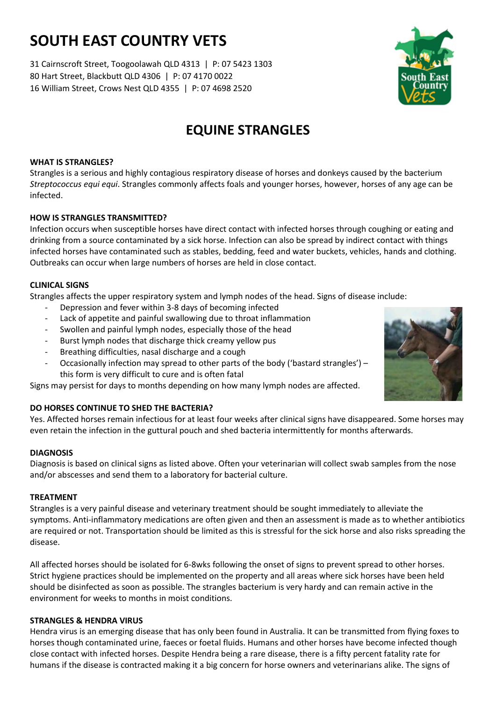# **SOUTH EAST COUNTRY VETS**

31 Cairnscroft Street, Toogoolawah QLD 4313 | P: 07 5423 1303 80 Hart Street, Blackbutt QLD 4306 | P: 07 4170 0022 16 William Street, Crows Nest QLD 4355 | P: 07 4698 2520

# **EQUINE STRANGLES**

# **WHAT IS STRANGLES?**

Strangles is a serious and highly contagious respiratory disease of horses and donkeys caused by the bacterium *Streptococcus equi equi*. Strangles commonly affects foals and younger horses, however, horses of any age can be infected.

# **HOW IS STRANGLES TRANSMITTED?**

Infection occurs when susceptible horses have direct contact with infected horses through coughing or eating and drinking from a source contaminated by a sick horse. Infection can also be spread by indirect contact with things infected horses have contaminated such as stables, bedding, feed and water buckets, vehicles, hands and clothing. Outbreaks can occur when large numbers of horses are held in close contact.

# **CLINICAL SIGNS**

Strangles affects the upper respiratory system and lymph nodes of the head. Signs of disease include:

- Depression and fever within 3-8 days of becoming infected
- Lack of appetite and painful swallowing due to throat inflammation
- Swollen and painful lymph nodes, especially those of the head
- Burst lymph nodes that discharge thick creamy yellow pus
- Breathing difficulties, nasal discharge and a cough
- Occasionally infection may spread to other parts of the body ('bastard strangles') this form is very difficult to cure and is often fatal

Signs may persist for days to months depending on how many lymph nodes are affected.

# **DO HORSES CONTINUE TO SHED THE BACTERIA?**

Yes. Affected horses remain infectious for at least four weeks after clinical signs have disappeared. Some horses may even retain the infection in the guttural pouch and shed bacteria intermittently for months afterwards.

#### **DIAGNOSIS**

Diagnosis is based on clinical signs as listed above. Often your veterinarian will collect swab samples from the nose and/or abscesses and send them to a laboratory for bacterial culture.

#### **TREATMENT**

Strangles is a very painful disease and veterinary treatment should be sought immediately to alleviate the symptoms. Anti-inflammatory medications are often given and then an assessment is made as to whether antibiotics are required or not. Transportation should be limited as this is stressful for the sick horse and also risks spreading the disease.

All affected horses should be isolated for 6-8wks following the onset of signs to prevent spread to other horses. Strict hygiene practices should be implemented on the property and all areas where sick horses have been held should be disinfected as soon as possible. The strangles bacterium is very hardy and can remain active in the environment for weeks to months in moist conditions.

#### **STRANGLES & HENDRA VIRUS**

Hendra virus is an emerging disease that has only been found in Australia. It can be transmitted from flying foxes to horses though contaminated urine, faeces or foetal fluids. Humans and other horses have become infected though close contact with infected horses. Despite Hendra being a rare disease, there is a fifty percent fatality rate for humans if the disease is contracted making it a big concern for horse owners and veterinarians alike. The signs of